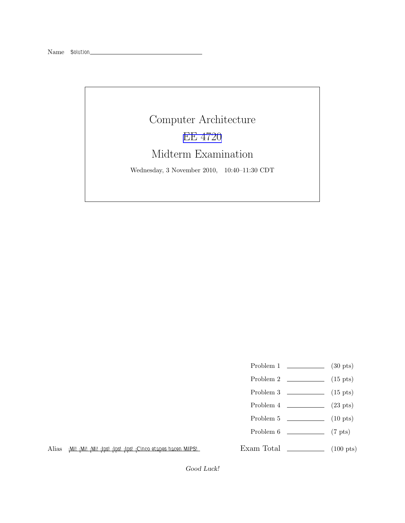## Computer Architecture [EE 4720](http://www.ece.lsu.edu/ee4720/) Midterm Examination

Wednesday, 3 November 2010, 10:40–11:30 CDT

- Problem 1  $\qquad \qquad$  (30 pts)
- Problem 2  $\qquad \qquad$  (15 pts)
- Problem  $3 \t\t(15 \text{ pts})$
- Problem 4  $\sim$  (23 pts)
- Problem 5  $\qquad \qquad$  (10 pts)
- Problem 6 (7 pts)
- 

Alias *¡Mi! ¡Mi! ¡Mi! ¡Ips! ¡Ips! ¡Ips! ¡Cinco etapes hacen MIPS!*

Exam Total \_\_\_\_\_\_\_\_\_\_\_\_\_\_\_ (100 pts)

Good Luck!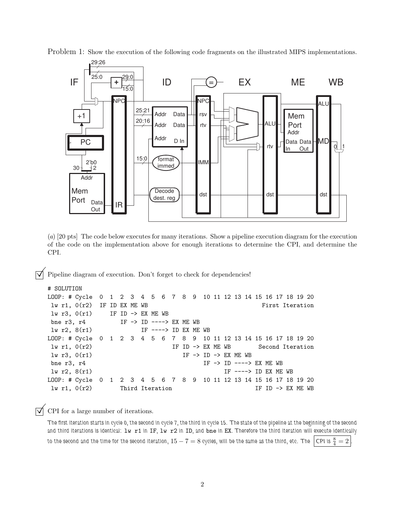

Problem 1: Show the execution of the following code fragments on the illustrated MIPS implementations.

(*a*) [20 pts] The code below executes for many iterations. Show a pipeline execution diagram for the execution of the code on the implementation above for enough iterations to determine the CPI, and determine the CPI.

 $\triangledown$  Pipeline diagram of execution. Don't forget to check for dependencies!

```
# SOLUTION
```

```
LOOP: # Cycle 0 1 2 3 4 5 6 7 8 9 10 11 12 13 14 15 16 17 18 19 20
lw r1, 0(r2) IF ID EX ME WB First Iteration
lw r3, 0(r1) IF ID \rightarrow EX ME WB
bne r3, r4 IF -> ID ----> EX ME WB
lw r2, 8(r1) IF ----> ID EX ME WB
LOOP: # Cycle 0 1 2 3 4 5 6 7 8 9 10 11 12 13 14 15 16 17 18 19 20
lw r1, 0(r2) IF ID -> EX ME WB Second Iteration
lw r3, 0(r1) IF \rightarrow ID \rightarrow EX ME WB
bne r3, r4 IF -> ID ----> EX ME WB
\text{lw } r2, 8(r1) IF ---> ID EX ME WB
LOOP: # Cycle 0 1 2 3 4 5 6 7 8 9 10 11 12 13 14 15 16 17 18 19 20
lw r1, 0(r2) Third Iteration IF ID -> EX ME WB
```
 $\triangledown$  CPI for a large number of iterations.

*The first iteration starts in cycle 0, the second in cycle 7, the third in cycle 15. The state of the pipeline at the beginning of the second and third iterations is identical:* lw r1 *in* IF*,* lw r2 *in* ID*, and* bne *in* EX*. Therefore the third iteration will execute identically*  $t$ o the second and the time for the second iteration,  $15-7=8$  cycles, will be the same as the third, etc. The  $\Big|$  CPI is  $\frac{8}{4}=2$   $\Big|$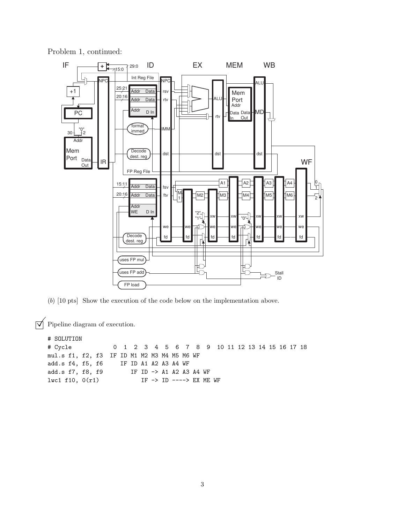

Problem 1, continued:

(*b*) [10 pts] Show the execution of the code below on the implementation above.

 $\triangledown$  Pipeline diagram of execution.

# SOLUTION # Cycle 0 1 2 3 4 5 6 7 8 9 10 11 12 13 14 15 16 17 18 mul.s f1, f2, f3 IF ID M1 M2 M3 M4 M5 M6 WF add.s f4, f5, f6 IF ID A1 A2 A3 A4 WF add.s f7, f8, f9 IF ID -> A1 A2 A3 A4 WF lwc1 f10,  $0(r1)$  IF -> ID ----> EX ME WF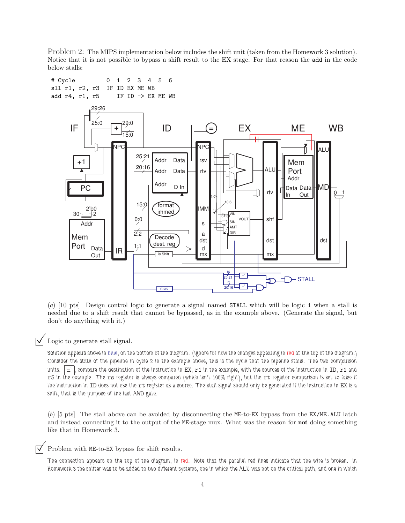Problem 2: The MIPS implementation below includes the shift unit (taken from the Homework 3 solution). Notice that it is not possible to bypass a shift result to the EX stage. For that reason the add in the code below stalls:



(*a*) [10 pts] Design control logic to generate a signal named STALL which will be logic 1 when a stall is needed due to a shift result that cannot be bypassed, as in the example above. (Generate the signal, but don't do anything with it.)

## $\triangledown$  Logic to generate stall signal.

*Solution appears above in blue, on the bottom of the diagram. (Ignore for now the changes appearing in red at the top of the diagram.) Consider the state of the pipeline in cycle 2 in the example above, this is the cycle that the pipeline stalls. The two comparison* units,  $\vert \equiv \vert$ , compare the destination of the instruction in EX,  $r1$  in the example, with the sources of the instruction in ID,  $r1$  and r5 *in the example. The* rs *register is always compared (which isn't 100% right), but the* rt *register comparison is set to false if* the instruction in ID does not use the rt register as a source. The stall signal should only be generated if the instruction in EX is a *shift, that is the purpose of the last AND gate.*

(*b*) [5 pts] The stall above can be avoided by disconnecting the ME-to-EX bypass from the EX/ME.ALU latch and instead connecting it to the output of the ME-stage mux. What was the reason for not doing something like that in Homework 3.

 $\triangledown$  Problem with ME-to-EX bypass for shift results.

*The connection appears on the top of the diagram, in red. Note that the parallel red lines indicate that the wire is broken. In Homework 3 the shifter was to be added to two different systems, one in which the ALU was not on the critical path, and one in which*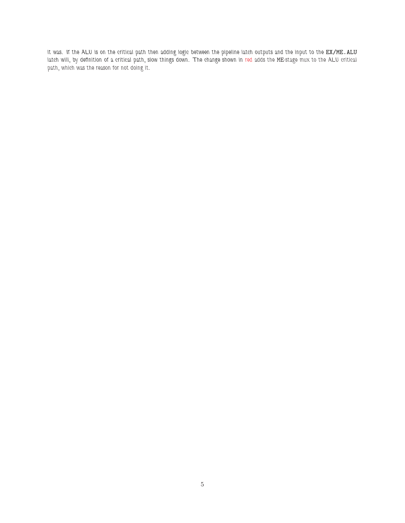it was. If the ALU is on the critical path then adding logic between the pipeline latch outputs and the input to the EX/ME.ALU latch will, by definition of a critical path, slow things down. The change shown in red adds the ME-stage mux to the ALU critical *path, which was the reason for not doing it.*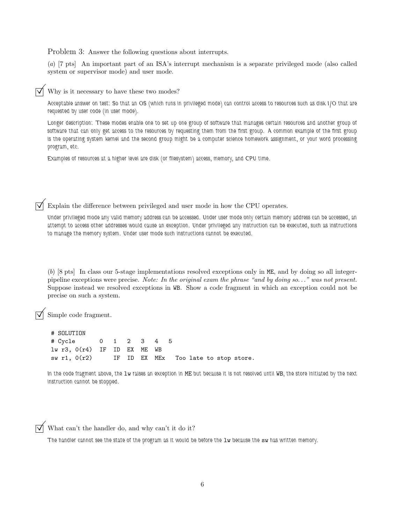Problem 3: Answer the following questions about interrupts.

(*a*) [7 pts] An important part of an ISA's interrupt mechanism is a separate privileged mode (also called system or supervisor mode) and user mode.

Why is it necessary to have these two modes?

*Acceptable answer on test: So that an OS (which runs in privileged mode) can control access to resources such as disk I/O that are requested by user code (in user mode).*

*Longer description: These modes enable one to set up one group of software that manages certain resources and another group of software that can only get access to the resources by requesting them from the first group. A common example of the first group is the operating system kernel and the second group might be a computer science homework assignment, or your word processing program, etc.*

*Examples of resources at a higher level are disk (or filesystem) access, memory, and CPU time.*

Explain the difference between privileged and user mode in how the CPU operates.

*Under privileged mode any valid memory address can be accessed. Under user mode only certain memory address can be accessed, an attempt to access other addresses would cause an exception. Under privileged any instruction can be executed, such as instructions to manage the memory system. Under user mode such instructions cannot be executed.*

(*b*) [8 pts] In class our 5-stage implementations resolved exceptions only in ME, and by doing so all integerpipeline exceptions were precise. *Note: In the original exam the phrase "and by doing so*. . .*" was not present.* Suppose instead we resolved exceptions in WB. Show a code fragment in which an exception could not be precise on such a system.

Simple code fragment.

# SOLUTION # Cycle 0 1 2 3 4 5 lw r3, 0(r4) IF ID EX ME WB sw r1, 0(r2) IF ID EX MEx Too late to stop store.

*In the code fragment above, the* lw *raises an exception in* ME *but because it is not resolved until* WB*, the store initiated by the next instruction cannot be stopped.*

What can't the handler do, and why can't it do it?

*The handler cannot see the state of the program as it would be before the* lw *because the* sw has written memory.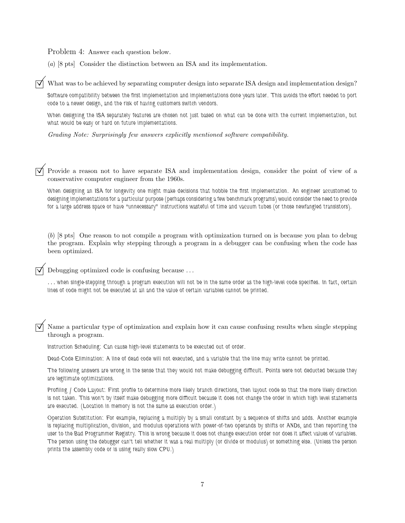Problem 4: Answer each question below.

(*a*) [8 pts] Consider the distinction between an ISA and its implementation.

What was to be achieved by separating computer design into separate ISA design and implementation design?

*Software compatibility between the first implementation and implementations done years later. This avoids the effort needed to port code to a newer design, and the risk of having customers switch vendors.*

*When designing the ISA separately features are chosen not just based on what can be done with the current implementation, but what would be easy or hard on future implementations.*

*Grading Note: Surprisingly few answers explicitly mentioned software compatibility.*

Provide a reason not to have separate ISA and implementation design, consider the point of view of a conservative computer engineer from the 1960s.

*When designing an ISA for longevity one might make decisions that hobble the first implementation. An engineer accustomed to designing implementations for a particular purpose (perhaps considering a few benchmark programs) would consider the need to provide for a large address space or have "unnecessary" instructions wasteful of time and vacuum tubes (or those newfangled transistors).*

(*b*) [8 pts] One reason to not compile a program with optimization turned on is because you plan to debug the program. Explain why stepping through a program in a debugger can be confusing when the code has been optimized.

Debugging optimized code is confusing because . . .

. . . *when single-stepping through a program execution will not be in the same order as the high-level code specifies. In fact, certain lines of code might not be executed at all and the value of certain variables cannot be printed.*

 Name a particular type of optimization and explain how it can cause confusing results when single stepping through a program.

*Instruction Scheduling: Can cause high-level statements to be executed out of order.*

*Dead-Code Elimination: A line of dead code will not executed, and a variable that the line may write cannot be printed.*

*The following answers are wrong in the sense that they would not make debugging difficult. Points were not deducted because they are legitimate optimizations.*

*Profiling / Code Layout: First profile to determine more likely branch directions, then layout code so that the more likely direction is not taken. This won't by itself make debugging more difficult because it does not change the order in which high level statements are executed. (Location in memory is not the same as execution order.)*

*Operation Substitution: For example, replacing a multiply by a small constant by a sequence of shifts and adds. Another example is replacing multiplication, division, and modulus operations with power-of-two operands by shifts or ANDs, and then reporting the* user to the Bad Programmer Registry. This is wrong because it does not change execution order nor does it affect values of variables. *The person using the debugger can't tell whether it was a real multiply (or divide or modulus) or something else. (Unless the person prints the assembly code or is using really slow CPU.)*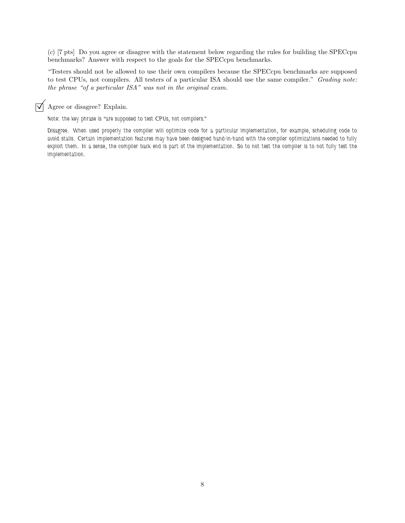(*c*) [7 pts] Do you agree or disagree with the statement below regarding the rules for building the SPECcpu benchmarks? Answer with respect to the goals for the SPECcpu benchmarks.

"Testers should not be allowed to use their own compilers because the SPECcpu benchmarks are supposed to test CPUs, not compilers. All testers of a particular ISA should use the same compiler." *Grading note: the phrase "of a particular ISA" was not in the original exam.*

## $\overrightarrow{A}$  Agree or disagree? Explain.

*Note: the key phrase is "are supposed to test CPUs, not compilers."*

*Disagree. When used properly the compiler will optimize code for a particular implementation, for example, scheduling code to avoid stalls. Certain implementation features may have been designed hand-in-hand with the compiler optimizations needed to fully exploit them. In a sense, the compiler back end is part of the implementation. So to not test the compiler is to not fully test the implementation.*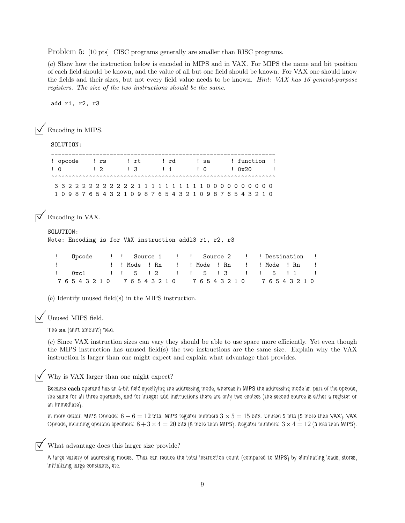Problem 5: [10 pts] CISC programs generally are smaller than RISC programs.

(*a*) Show how the instruction below is encoded in MIPS and in VAX. For MIPS the name and bit position of each field should be known, and the value of all but one field should be known. For VAX one should know the fields and their sizes, but not every field value needs to be known. *Hint: VAX has 16 general-purpose registers. The size of the two instructions should be the same.*

add r1, r2, r3

Encoding in MIPS.

SOLUTION:

| ! opcode ! rs    |               | $!$ rt | l rd                                        | l sa             | ! function !                                                    |
|------------------|---------------|--------|---------------------------------------------|------------------|-----------------------------------------------------------------|
| $\overline{1}$ 0 | $\frac{1}{2}$ |        | $\begin{array}{ccc} & 1 & 3 \\ \end{array}$ | $\overline{1}$ 0 | 10x20                                                           |
|                  |               |        |                                             |                  |                                                                 |
|                  |               |        |                                             |                  |                                                                 |
|                  |               |        |                                             |                  | 1 0 9 8 7 6 5 4 3 2 1 0 9 8 7 6 5 4 3 2 1 0 9 8 7 6 5 4 3 2 1 0 |

Encoding in VAX.

```
SOLUTION:
Note: Encoding is for VAX instruction addl3 r1, r2, r3
```

| ! Opcode !! Source 1 !! Source 2 !! Destination! |  |  |  |  |                                  |  |
|--------------------------------------------------|--|--|--|--|----------------------------------|--|
| The company of the company                       |  |  |  |  | !!Mode!Rn !!!Mode!Rn !!Mode!Rn ! |  |
| ! 0xc1 !! 5 !2 !! 5 !3 !! 5 !1 !                 |  |  |  |  |                                  |  |
| 76543210 76543210 76543210 76543210              |  |  |  |  |                                  |  |

(*b*) Identify unused field(s) in the MIPS instruction.

Unused MIPS field.

*The* sa *(shift amount) field.*

(*c*) Since VAX instruction sizes can vary they should be able to use space more efficiently. Yet even though the MIPS instruction has unused field(s) the two instructions are the same size. Explain why the VAX instruction is larger than one might expect and explain what advantage that provides.

 $\nabla$  Why is VAX larger than one might expect?

*Because* each *operand has an 4-bit field specifying the addressing mode, whereas in MIPS the addressing mode is: part of the opcode, the same for all three operands, and for integer add instructions there are only two choices (the second source is either a register or an immediate).*

*In more detail: MIPS Opcode:*  $6 + 6 = 12$  *bits. MIPS register numbers*  $3 \times 5 = 15$  *bits. Unused* 5 *bits* (5 *more than VAX*). *VAX Opcode, including operand specifiers:*  $8 + 3 \times 4 = 20$  bits (8 more than MIPS). Register numbers:  $3 \times 4 = 12$  (3 less than MIPS).

What advantage does this larger size provide?

*A large variety of addressing modes. That can reduce the total instruction count (compared to MIPS) by eliminating loads, stores, initializing large constants, etc.*